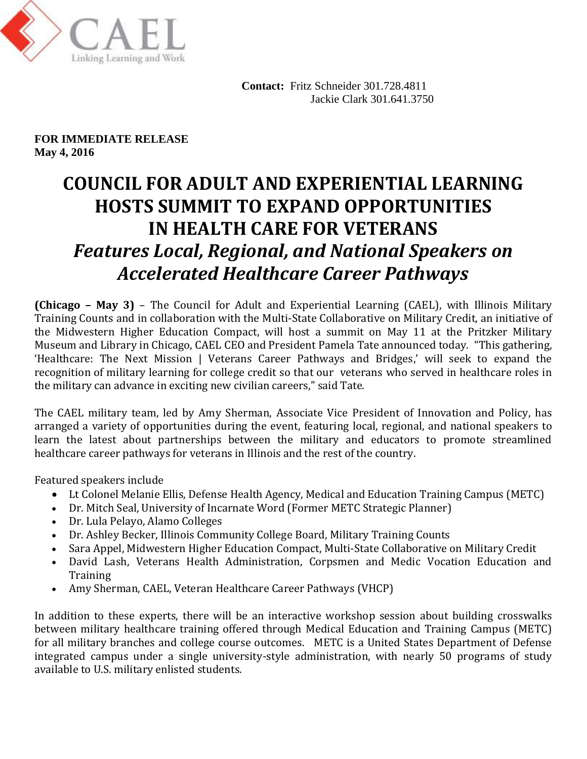

 **Contact:** Fritz Schneider 301.728.4811 Jackie Clark 301.641.3750

**FOR IMMEDIATE RELEASE May 4, 2016** 

## **COUNCIL FOR ADULT AND EXPERIENTIAL LEARNING HOSTS SUMMIT TO EXPAND OPPORTUNITIES IN HEALTH CARE FOR VETERANS** *Features Local, Regional, and National Speakers on Accelerated Healthcare Career Pathways*

 **(Chicago – May 3)** – The Council for Adult and Experiential Learning (CAEL), with Illinois Military Training Counts and in collaboration with the Multi-State Collaborative on Military Credit, an initiative of the Midwestern Higher Education Compact, will host a summit on May 11 at the Pritzker Military Museum and Library in Chicago, CAEL CEO and President Pamela Tate announced today. "This gathering, 'Healthcare: The Next Mission | Veterans Career Pathways and Bridges,' will seek to expand the recognition of military learning for college credit so that our veterans who served in healthcare roles in the military can advance in exciting new civilian careers," said Tate.

 The CAEL military team, led by Amy Sherman, Associate Vice President of Innovation and Policy, has arranged a variety of opportunities during the event, featuring local, regional, and national speakers to learn the latest about partnerships between the military and educators to promote streamlined healthcare career pathways for veterans in Illinois and the rest of the country.

Featured speakers include

- Lt Colonel Melanie Ellis, Defense Health Agency, Medical and Education Training Campus (METC)
- Dr. Mitch Seal, University of Incarnate Word (Former METC Strategic Planner)
- Dr. Lula Pelayo, Alamo Colleges
- Dr. Ashley Becker, Illinois Community College Board, Military Training Counts
- Sara Appel, Midwestern Higher Education Compact, Multi-State Collaborative on Military Credit
- David Lash, Veterans Health Administration, Corpsmen and Medic Vocation Education and **Training**
- Amy Sherman, CAEL, Veteran Healthcare Career Pathways (VHCP)

 In addition to these experts, there will be an interactive workshop session about building crosswalks between military healthcare training offered through Medical Education and Training Campus (METC) for all military branches and college course outcomes. METC is a United States Department of Defense integrated campus under a single university-style administration, with nearly 50 programs of study available to U.S. military enlisted students.